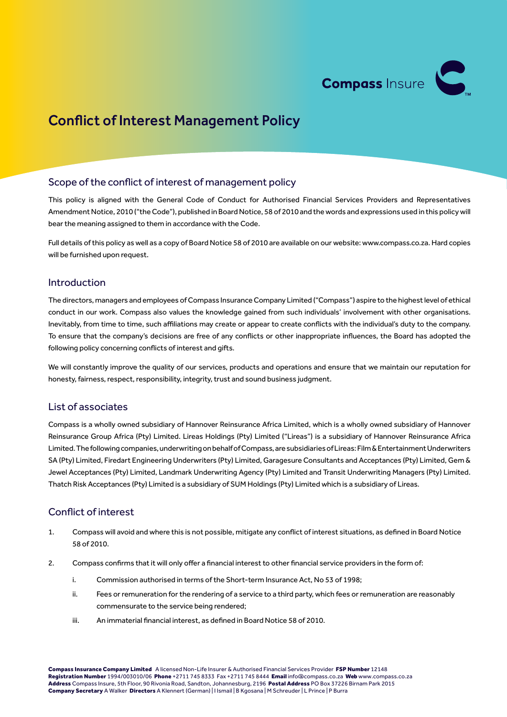

# Conflict of Interest Management Policy

### Scope of the conflict of interest of management policy

This policy is aligned with the General Code of Conduct for Authorised Financial Services Providers and Representatives Amendment Notice, 2010 ("the Code"), published in Board Notice, 58 of 2010 and the words and expressions used in this policy will bear the meaning assigned to them in accordance with the Code.

Full details of this policy as well as a copy of Board Notice 58 of 2010 are available on our website: www.compass.co.za. Hard copies will be furnished upon request.

#### Introduction

The directors, managers and employees of Compass Insurance Company Limited ("Compass") aspire to the highest level of ethical conduct in our work. Compass also values the knowledge gained from such individuals' involvement with other organisations. Inevitably, from time to time, such affiliations may create or appear to create conflicts with the individual's duty to the company. To ensure that the company's decisions are free of any conflicts or other inappropriate influences, the Board has adopted the following policy concerning conflicts of interest and gifts.

We will constantly improve the quality of our services, products and operations and ensure that we maintain our reputation for honesty, fairness, respect, responsibility, integrity, trust and sound business judgment.

#### List of associates

Compass is a wholly owned subsidiary of Hannover Reinsurance Africa Limited, which is a wholly owned subsidiary of Hannover Reinsurance Group Africa (Pty) Limited. Lireas Holdings (Pty) Limited ("Lireas") is a subsidiary of Hannover Reinsurance Africa Limited. The following companies, underwriting on behalf of Compass, are subsidiaries of Lireas: Film & Entertainment Underwriters SA (Pty) Limited, Firedart Engineering Underwriters (Pty) Limited, Garagesure Consultants and Acceptances (Pty) Limited, Gem & Jewel Acceptances (Pty) Limited, Landmark Underwriting Agency (Pty) Limited and Transit Underwriting Managers (Pty) Limited. Thatch Risk Acceptances (Pty) Limited is a subsidiary of SUM Holdings (Pty) Limited which is a subsidiary of Lireas.

#### Conflict of interest

- 1. Compass will avoid and where this is not possible, mitigate any conflict of interest situations, as defined in Board Notice 58 of 2010.
- 2. Compass confirms that it will only offer a financial interest to other financial service providers in the form of:
	- i. Commission authorised in terms of the Short-term Insurance Act, No 53 of 1998;
	- ii. Fees or remuneration for the rendering of a service to a third party, which fees or remuneration are reasonably commensurate to the service being rendered;
	- iii. An immaterial financial interest, as defined in Board Notice 58 of 2010.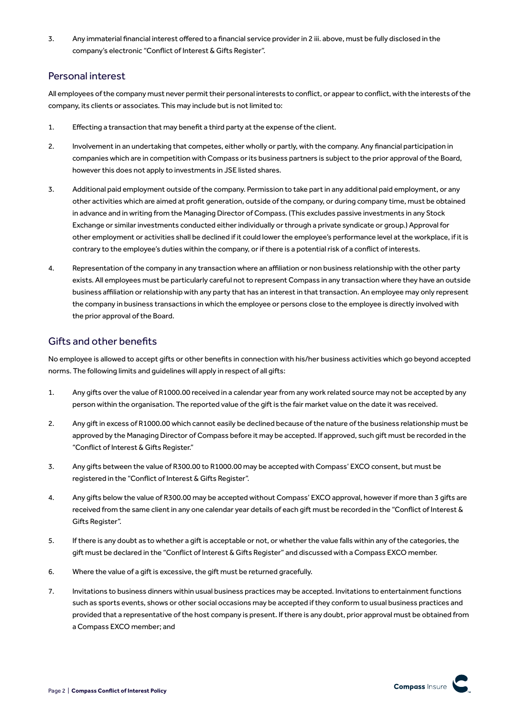3. Any immaterial financial interest offered to a financial service provider in 2 iii. above, must be fully disclosed in the company's electronic "Conflict of Interest & Gifts Register".

### Personal interest

All employees of the company must never permit their personal interests to conflict, or appear to conflict, with the interests of the company, its clients or associates. This may include but is not limited to:

- 1. Effecting a transaction that may benefit a third party at the expense of the client.
- 2. Involvement in an undertaking that competes, either wholly or partly, with the company. Any financial participation in companies which are in competition with Compass or its business partners is subject to the prior approval of the Board, however this does not apply to investments in JSE listed shares.
- 3. Additional paid employment outside of the company. Permission to take part in any additional paid employment, or any other activities which are aimed at profit generation, outside of the company, or during company time, must be obtained in advance and in writing from the Managing Director of Compass. (This excludes passive investments in any Stock Exchange or similar investments conducted either individually or through a private syndicate or group.) Approval for other employment or activities shall be declined if it could lower the employee's performance level at the workplace, if it is contrary to the employee's duties within the company, or if there is a potential risk of a conflict of interests.
- 4. Representation of the company in any transaction where an affiliation or non business relationship with the other party exists. All employees must be particularly careful not to represent Compass in any transaction where they have an outside business affiliation or relationship with any party that has an interest in that transaction. An employee may only represent the company in business transactions in which the employee or persons close to the employee is directly involved with the prior approval of the Board.

#### Gifts and other benefits

No employee is allowed to accept gifts or other benefits in connection with his/her business activities which go beyond accepted norms. The following limits and guidelines will apply in respect of all gifts:

- 1. Any gifts over the value of R1000.00 received in a calendar year from any work related source may not be accepted by any person within the organisation. The reported value of the gift is the fair market value on the date it was received.
- 2. Any gift in excess of R1000.00 which cannot easily be declined because of the nature of the business relationship must be approved by the Managing Director of Compass before it may be accepted. If approved, such gift must be recorded in the "Conflict of Interest & Gifts Register."
- 3. Any gifts between the value of R300.00 to R1000.00 may be accepted with Compass' EXCO consent, but must be registered in the "Conflict of Interest & Gifts Register".
- 4. Any gifts below the value of R300.00 may be accepted without Compass' EXCO approval, however if more than 3 gifts are received from the same client in any one calendar year details of each gift must be recorded in the "Conflict of Interest & Gifts Register".
- 5. If there is any doubt as to whether a gift is acceptable or not, or whether the value falls within any of the categories, the gift must be declared in the "Conflict of Interest & Gifts Register" and discussed with a Compass EXCO member.
- 6. Where the value of a gift is excessive, the gift must be returned gracefully.
- 7. Invitations to business dinners within usual business practices may be accepted. Invitations to entertainment functions such as sports events, shows or other social occasions may be accepted if they conform to usual business practices and provided that a representative of the host company is present. If there is any doubt, prior approval must be obtained from a Compass EXCO member; and